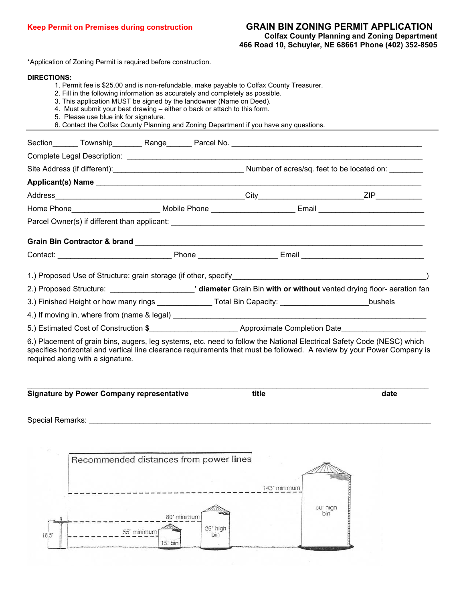## **Keep Permit on Premises during construction GRAIN BIN ZONING PERMIT APPLICATION Colfax County Planning and Zoning Department 466 Road 10, Schuyler, NE 68661 Phone (402) 352-8505**

\*Application of Zoning Permit is required before construction.

## **DIRECTIONS:**

- 1. Permit fee is \$25.00 and is non-refundable, make payable to Colfax County Treasurer.
- 2. Fill in the following information as accurately and completely as possible.
- 3. This application MUST be signed by the landowner (Name on Deed).
- 4. Must submit your best drawing either o back or attach to this form.
- 5. Please use blue ink for signature.
- 6. Contact the Colfax County Planning and Zoning Department if you have any questions.

|  | 2.) Proposed Structure: ___________________________' diameter Grain Bin with or without vented drying floor- aeration fan |  |                                                                                                                    |  |                                                                                                                        |
|--|---------------------------------------------------------------------------------------------------------------------------|--|--------------------------------------------------------------------------------------------------------------------|--|------------------------------------------------------------------------------------------------------------------------|
|  |                                                                                                                           |  | 3.) Finished Height or how many rings ________________Total Bin Capacity: _________________________bushels         |  |                                                                                                                        |
|  |                                                                                                                           |  |                                                                                                                    |  |                                                                                                                        |
|  |                                                                                                                           |  | 5.) Estimated Cost of Construction \$_____________________________Approximate Completion Date_____________________ |  |                                                                                                                        |
|  |                                                                                                                           |  |                                                                                                                    |  | 6.) Placement of grain bins, augers, leg systems, etc. need to follow the National Electrical Safety Code (NESC) which |

specifies horizontal and vertical line clearance requirements that must be followed. A review by your Power Company is required along with a signature.

| <b>Signature by Power Company representative</b> | title | date |
|--------------------------------------------------|-------|------|

Special Remarks: **Example 20** and  $\overline{a}$  and  $\overline{b}$  and  $\overline{c}$  and  $\overline{d}$  and  $\overline{b}$  and  $\overline{c}$  and  $\overline{c}$  and  $\overline{c}$  and  $\overline{c}$  and  $\overline{c}$  and  $\overline{c}$  and  $\overline{c}$  and  $\overline{c}$  and  $\overline{c}$  and  $\overline{c$